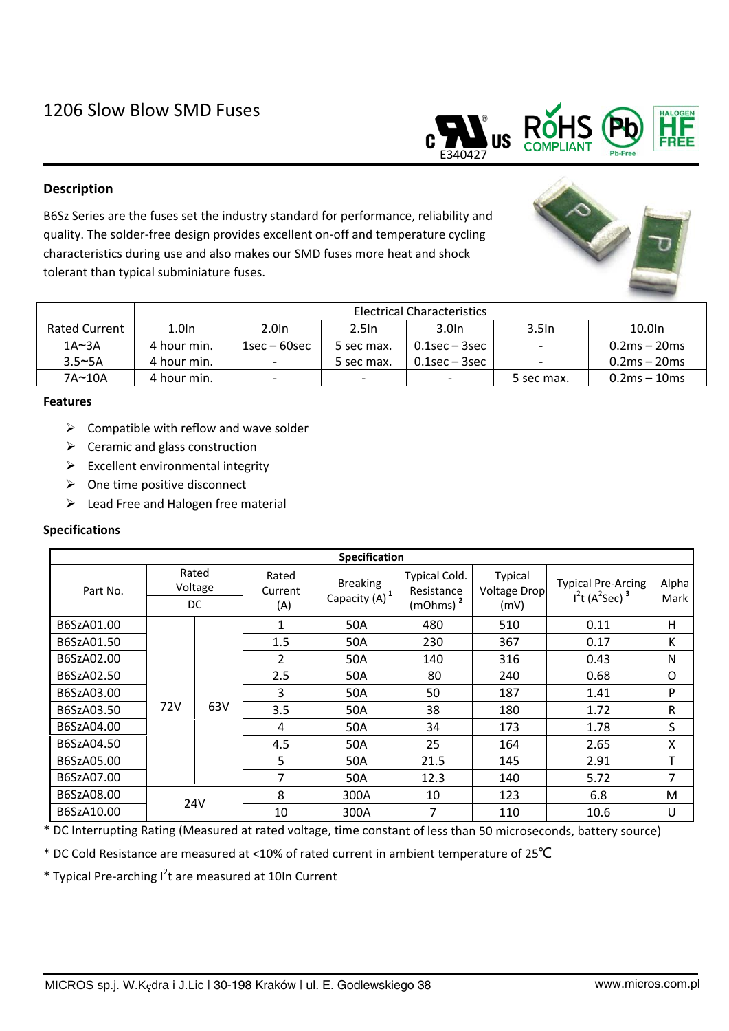

# **Description**

B6Sz Series are the fuses set the industry standard for performance, reliability and quality. The solder‐free design provides excellent on‐off and temperature cycling characteristics during use and also makes our SMD fuses more heat and shock tolerant than typical subminiature fuses.



|               | Electrical Characteristics |                          |                          |               |                          |                |  |  |  |  |
|---------------|----------------------------|--------------------------|--------------------------|---------------|--------------------------|----------------|--|--|--|--|
| Rated Current | 1.0 <sub>ln</sub>          | 2.0 <sub>ln</sub>        | 2.5 <sub>ln</sub>        | 3.0In         | 3.5 <sub>ln</sub>        | 10.0In         |  |  |  |  |
| $1A \sim 3A$  | 4 hour min.                | $1$ sec – 60sec          | 5 sec max.               | 0.1sec – 3sec | $\overline{\phantom{a}}$ | $0.2ms - 20ms$ |  |  |  |  |
| $3.5 - 5A$    | 4 hour min.                | -                        | 5 sec max.               | 0.1sec – 3sec |                          | $0.2ms - 20ms$ |  |  |  |  |
| $7A \sim 10A$ | 4 hour min.                | $\overline{\phantom{a}}$ | $\overline{\phantom{0}}$ |               | 5 sec max.               | $0.2ms - 10ms$ |  |  |  |  |

## **Features**

- $\triangleright$  Compatible with reflow and wave solder
- $\triangleright$  Ceramic and glass construction
- $\triangleright$  Excellent environmental integrity
- $\triangleright$  One time positive disconnect
- $\triangleright$  Lead Free and Halogen free material

# **Specifications**

| <b>Specification</b> |                         |     |                         |                                              |                                                     |                                               |                                             |               |  |  |  |  |  |
|----------------------|-------------------------|-----|-------------------------|----------------------------------------------|-----------------------------------------------------|-----------------------------------------------|---------------------------------------------|---------------|--|--|--|--|--|
| Part No.             | Rated<br>Voltage<br>DC. |     | Rated<br>Current<br>(A) | <b>Breaking</b><br>Capacity (A) <sup>1</sup> | Typical Cold.<br>Resistance<br>(mOhms) <sup>2</sup> | <b>Typical</b><br><b>Voltage Drop</b><br>(mV) | <b>Typical Pre-Arcing</b><br>$I2t (A2Sec)3$ | Alpha<br>Mark |  |  |  |  |  |
| B6SzA01.00           | 72V                     | 63V | 1                       | 50A                                          | 480                                                 | 510                                           | 0.11                                        | н             |  |  |  |  |  |
| B6SzA01.50           |                         |     | 1.5                     | 50A                                          | 230                                                 | 367                                           | 0.17                                        | К             |  |  |  |  |  |
| B6SzA02.00           |                         |     | $\overline{2}$          | 50A                                          | 140                                                 | 316                                           | 0.43                                        | N             |  |  |  |  |  |
| B6SzA02.50           |                         |     | 2.5                     | 50A                                          | 80                                                  | 240                                           | 0.68                                        | O             |  |  |  |  |  |
| B6SzA03.00           |                         |     | 3                       | 50A                                          | 50                                                  | 187                                           | 1.41                                        | P             |  |  |  |  |  |
| B6SzA03.50           |                         |     | 3.5                     | 50A                                          | 38                                                  | 180                                           | 1.72                                        | R             |  |  |  |  |  |
| B6SzA04.00           |                         |     | 4                       | 50A                                          | 34                                                  | 173                                           | 1.78                                        | S             |  |  |  |  |  |
| B6SzA04.50           |                         |     | 4.5                     | 50A                                          | 25                                                  | 164                                           | 2.65                                        | X             |  |  |  |  |  |
| B6SzA05.00           |                         |     | 5                       | 50A                                          | 21.5                                                | 145                                           | 2.91                                        | т             |  |  |  |  |  |
| B6SzA07.00           |                         |     | 7                       | 50A                                          | 12.3                                                | 140                                           | 5.72                                        | 7             |  |  |  |  |  |
| B6SzA08.00           | <b>24V</b>              |     | 8                       | 300A                                         | 10                                                  | 123                                           | 6.8                                         | M             |  |  |  |  |  |
| B6SzA10.00           |                         |     | 10                      | 300A                                         | 7                                                   | 110                                           | 10.6                                        | U             |  |  |  |  |  |

\* DC Interrupting Rating (Measured at rated voltage, time constant of less than 50 microseconds, battery source)

\* DC Cold Resistance are measured at <10% of rated current in ambient temperature of 25℃

\* Typical Pre-arching I<sup>2</sup>t are measured at 10In Current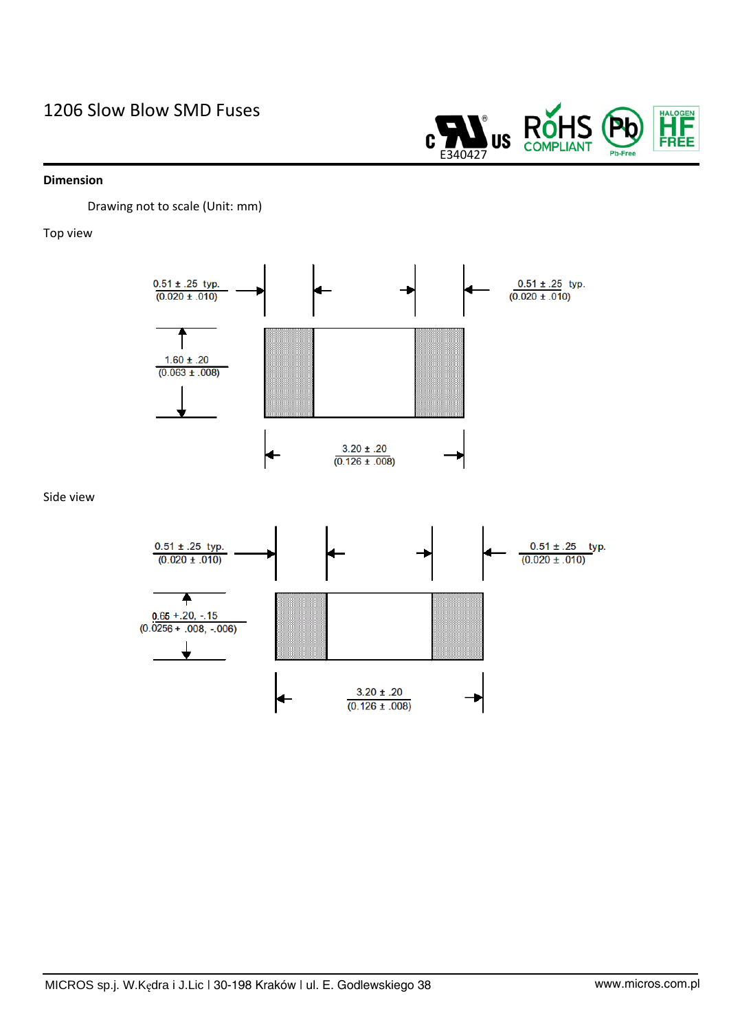# 1206 Slow Blow SMD Fuses

#### **Dimension**

Drawing not to scale (Unit: mm)

### Top view



E340427

**US** 

**RòH** 

**COMPLIANT** 

Side view



HALOGEN<br>FREE

Pb-Free